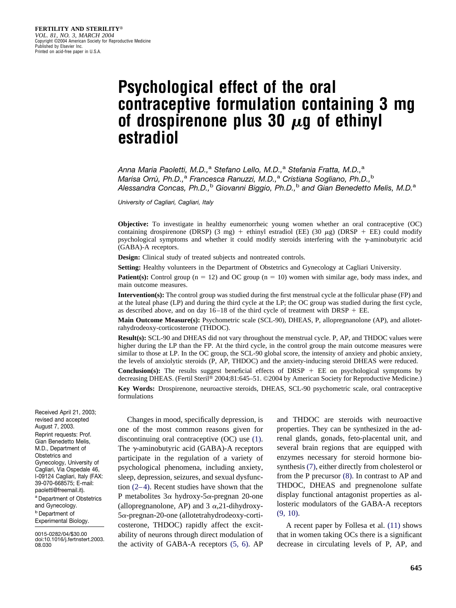# **Psychological effect of the oral contraceptive formulation containing 3 mg** of drospirenone plus 30  $\mu$ g of ethinyl **estradiol**

*Anna Maria Paoletti, M.D.,*<sup>a</sup> *Stefano Lello, M.D.,*<sup>a</sup> *Stefania Fratta, M.D.,*<sup>a</sup> *Marisa Orru` , Ph.D.,*<sup>a</sup> *Francesca Ranuzzi, M.D.,*<sup>a</sup> *Cristiana Sogliano, Ph.D.,*<sup>b</sup> *Alessandra Concas, Ph.D.,*<sup>b</sup> *Giovanni Biggio, Ph.D.,*<sup>b</sup> *and Gian Benedetto Melis, M.D.*<sup>a</sup>

*University of Cagliari, Cagliari, Italy*

**Objective:** To investigate in healthy eumenorrheic young women whether an oral contraceptive (OC) containing drospirenone (DRSP) (3 mg) + ethinyl estradiol (EE) (30  $\mu$ g) (DRSP + EE) could modify psychological symptoms and whether it could modify steroids interfering with the  $\gamma$ -aminobutyric acid (GABA)-A receptors.

**Design:** Clinical study of treated subjects and nontreated controls.

**Setting:** Healthy volunteers in the Department of Obstetrics and Gynecology at Cagliari University.

**Patient(s):** Control group ( $n = 12$ ) and OC group ( $n = 10$ ) women with similar age, body mass index, and main outcome measures.

**Intervention(s):** The control group was studied during the first menstrual cycle at the follicular phase (FP) and at the luteal phase (LP) and during the third cycle at the LP; the OC group was studied during the first cycle, as described above, and on day  $16-18$  of the third cycle of treatment with DRSP + EE.

**Main Outcome Measure(s):** Psychometric scale (SCL-90), DHEAS, P, allopregnanolone (AP), and allotetrahydrodeoxy-corticosterone (THDOC).

**Result(s):** SCL-90 and DHEAS did not vary throughout the menstrual cycle. P, AP, and THDOC values were higher during the LP than the FP. At the third cycle, in the control group the main outcome measures were similar to those at LP. In the OC group, the SCL-90 global score, the intensity of anxiety and phobic anxiety, the levels of anxiolytic steroids (P, AP, THDOC) and the anxiety-inducing steroid DHEAS were reduced.

**Conclusion(s):** The results suggest beneficial effects of DRSP  $+$  EE on psychological symptoms by decreasing DHEAS. (Fertil Steril® 2004;81:645-51. ©2004 by American Society for Reproductive Medicine.)

**Key Words:** Drospirenone, neuroactive steroids, DHEAS, SCL-90 psychometric scale, oral contraceptive formulations

Received April 21, 2003; revised and accepted August 7, 2003. Reprint requests: Prof. Gian Benedetto Melis, M.D., Department of Obstetrics and Gynecology, University of Cagliari, Via Ospedale 46, I-09124 Cagliari, Italy (FAX: 39-070-668575; E-mail: paoletti@freemail.it). <sup>a</sup> Department of Obstetrics and Gynecology. <sup>b</sup> Department of

Experimental Biology.

0015-0282/04/\$30.00 doi:10.1016/j.fertnstert.2003. 08.030

Changes in mood, specifically depression, is one of the most common reasons given for discontinuing oral contraceptive (OC) use [\(1\).](#page-5-0) The  $\gamma$ -aminobutyric acid (GABA)-A receptors participate in the regulation of a variety of psychological phenomena, including anxiety, sleep, depression, seizures, and sexual dysfunction [\(2–4\).](#page-6-0) Recent studies have shown that the P metabolites  $3\alpha$  hydroxy-5 $\alpha$ -pregnan 20-one (allopregnanolone, AP) and 3  $\alpha$ , 21-dihydroxy- $5\alpha$ -pregnan-20-one (allotetrahydrodeoxy-corticosterone, THDOC) rapidly affect the excitability of neurons through direct modulation of the activity of GABA-A receptors [\(5, 6\).](#page-6-0) AP

and THDOC are steroids with neuroactive properties. They can be synthesized in the adrenal glands, gonads, feto-placental unit, and several brain regions that are equipped with enzymes necessary for steroid hormone biosynthesis [\(7\),](#page-6-0) either directly from cholesterol or from the P precursor [\(8\).](#page-6-0) In contrast to AP and THDOC, DHEAS and pregnenolone sulfate display functional antagonist properties as allosteric modulators of the GABA-A receptors [\(9, 10\).](#page-6-0)

A recent paper by Follesa et al. [\(11\)](#page-6-0) shows that in women taking OCs there is a significant decrease in circulating levels of P, AP, and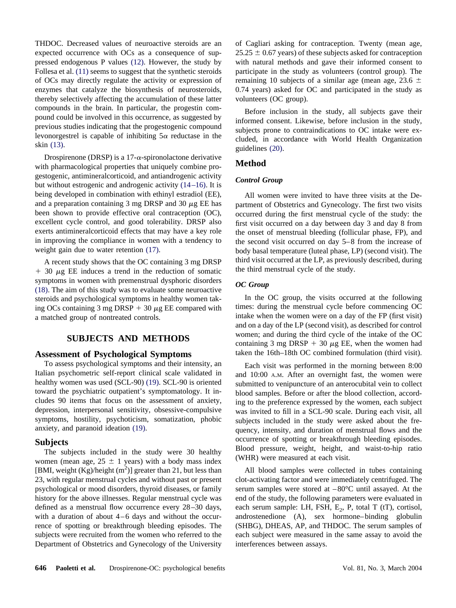THDOC. Decreased values of neuroactive steroids are an expected occurrence with OCs as a consequence of suppressed endogenous P values [\(12\).](#page-6-0) However, the study by Follesa et al. [\(11\)](#page-6-0) seems to suggest that the synthetic steroids of OCs may directly regulate the activity or expression of enzymes that catalyze the biosynthesis of neurosteroids, thereby selectively affecting the accumulation of these latter compounds in the brain. In particular, the progestin compound could be involved in this occurrence, as suggested by previous studies indicating that the progestogenic compound levonorgestrel is capable of inhibiting  $5\alpha$  reductase in the skin [\(13\).](#page-6-0)

Drospirenone (DRSP) is a 17- $\alpha$ -spironolactone derivative with pharmacological properties that uniquely combine progestogenic, antimineralcorticoid, and antiandrogenic activity but without estrogenic and androgenic activity [\(14–16\).](#page-6-0) It is being developed in combination with ethinyl estradiol (EE), and a preparation containing 3 mg DRSP and 30  $\mu$ g EE has been shown to provide effective oral contraception (OC), excellent cycle control, and good tolerability. DRSP also exerts antimineralcorticoid effects that may have a key role in improving the compliance in women with a tendency to weight gain due to water retention  $(17)$ .

A recent study shows that the OC containing 3 mg DRSP  $+$  30  $\mu$ g EE induces a trend in the reduction of somatic symptoms in women with premenstrual dysphoric disorders [\(18\).](#page-6-0) The aim of this study was to evaluate some neuroactive steroids and psychological symptoms in healthy women taking OCs containing 3 mg DRSP  $+$  30  $\mu$ g EE compared with a matched group of nontreated controls.

# **SUBJECTS AND METHODS**

# **Assessment of Psychological Symptoms**

To assess psychological symptoms and their intensity, an Italian psychometric self-report clinical scale validated in healthy women was used (SCL-90) [\(19\).](#page-6-0) SCL-90 is oriented toward the psychiatric outpatient's symptomatology. It includes 90 items that focus on the assessment of anxiety, depression, interpersonal sensitivity, obsessive-compulsive symptoms, hostility, psychoticism, somatization, phobic anxiety, and paranoid ideation [\(19\).](#page-6-0)

#### **Subjects**

The subjects included in the study were 30 healthy women (mean age,  $25 \pm 1$  years) with a body mass index [BMI, weight  $(Kg)/$ height  $(m<sup>2</sup>)$ ] greater than 21, but less than 23, with regular menstrual cycles and without past or present psychological or mood disorders, thyroid diseases, or family history for the above illnesses. Regular menstrual cycle was defined as a menstrual flow occurrence every 28–30 days, with a duration of about 4–6 days and without the occurrence of spotting or breakthrough bleeding episodes. The subjects were recruited from the women who referred to the Department of Obstetrics and Gynecology of the University of Cagliari asking for contraception. Twenty (mean age,  $25.25 \pm 0.67$  years) of these subjects asked for contraception with natural methods and gave their informed consent to participate in the study as volunteers (control group). The remaining 10 subjects of a similar age (mean age, 23.6  $\pm$ 0.74 years) asked for OC and participated in the study as volunteers (OC group).

Before inclusion in the study, all subjects gave their informed consent. Likewise, before inclusion in the study, subjects prone to contraindications to OC intake were excluded, in accordance with World Health Organization guidelines [\(20\).](#page-6-0)

# **Method**

#### *Control Group*

All women were invited to have three visits at the Department of Obstetrics and Gynecology. The first two visits occurred during the first menstrual cycle of the study: the first visit occurred on a day between day 3 and day 8 from the onset of menstrual bleeding (follicular phase, FP), and the second visit occurred on day 5–8 from the increase of body basal temperature (luteal phase, LP) (second visit). The third visit occurred at the LP, as previously described, during the third menstrual cycle of the study.

#### *OC Group*

In the OC group, the visits occurred at the following times: during the menstrual cycle before commencing OC intake when the women were on a day of the FP (first visit) and on a day of the LP (second visit), as described for control women; and during the third cycle of the intake of the OC containing 3 mg DRSP + 30  $\mu$ g EE, when the women had taken the 16th–18th OC combined formulation (third visit).

Each visit was performed in the morning between 8:00 and 10:00 A.M. After an overnight fast, the women were submitted to venipuncture of an anterocubital vein to collect blood samples. Before or after the blood collection, according to the preference expressed by the women, each subject was invited to fill in a SCL-90 scale. During each visit, all subjects included in the study were asked about the frequency, intensity, and duration of menstrual flows and the occurrence of spotting or breakthrough bleeding episodes. Blood pressure, weight, height, and waist-to-hip ratio (WHR) were measured at each visit.

All blood samples were collected in tubes containing clot-activating factor and were immediately centrifuged. The serum samples were stored at  $-80^{\circ}$ C until assayed. At the end of the study, the following parameters were evaluated in each serum sample: LH, FSH,  $E_2$ , P, total T (tT), cortisol, androstenedione (A), sex hormone–binding globulin (SHBG), DHEAS, AP, and THDOC. The serum samples of each subject were measured in the same assay to avoid the interferences between assays.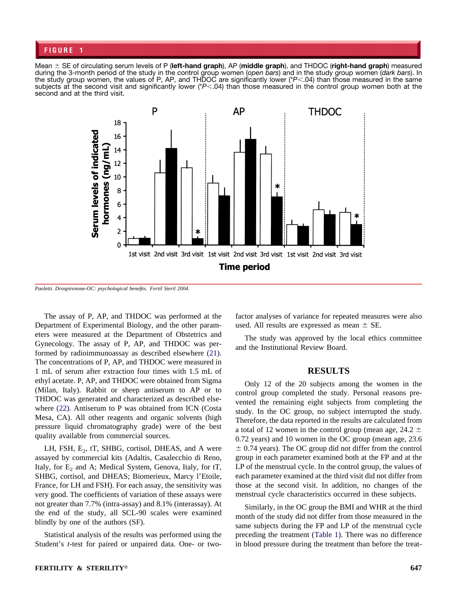# <span id="page-2-0"></span>**FIGURE 1**

Mean  $\pm$  SE of circulating serum levels of P (left-hand graph), AP (middle graph), and THDOC (right-hand graph) measured during the 3-month period of the study in the control group women (*open bars*) and in the study group women (*dark bars*). In the study group women, the values of P, AP, and THDOC are significantly lower (\**P*.04) than those measured in the same subjects at the second visit and significantly lower (\**P*<04) than those measured in the control group women both at the second and at the third visit.



*Paoletti. Drospirenone-OC: psychological benefits. Fertil Steril 2004.*

The assay of P, AP, and THDOC was performed at the Department of Experimental Biology, and the other parameters were measured at the Department of Obstetrics and Gynecology. The assay of P, AP, and THDOC was performed by radioimmunoassay as described elsewhere [\(21\).](#page-6-0) The concentrations of P, AP, and THDOC were measured in 1 mL of serum after extraction four times with 1.5 mL of ethyl acetate. P, AP, and THDOC were obtained from Sigma (Milan, Italy). Rabbit or sheep antiserum to AP or to THDOC was generated and characterized as described elsewhere [\(22\).](#page-6-0) Antiserum to P was obtained from ICN (Costa Mesa, CA). All other reagents and organic solvents (high pressure liquid chromatography grade) were of the best quality available from commercial sources.

LH, FSH,  $E_2$ , tT, SHBG, cortisol, DHEAS, and A were assayed by commercial kits (Adaltis, Casalecchio di Reno, Italy, for  $E_2$  and A; Medical System, Genova, Italy, for  $tT$ , SHBG, cortisol, and DHEAS; Biomerieux, Marcy l'Etoile, France, for LH and FSH). For each assay, the sensitivity was very good. The coefficients of variation of these assays were not greater than 7.7% (intra-assay) and 8.1% (interassay). At the end of the study, all SCL-90 scales were examined blindly by one of the authors (SF).

Statistical analysis of the results was performed using the Student's *t*-test for paired or unpaired data. One- or twofactor analyses of variance for repeated measures were also used. All results are expressed as mean  $\pm$  SE.

The study was approved by the local ethics committee and the Institutional Review Board.

#### **RESULTS**

Only 12 of the 20 subjects among the women in the control group completed the study. Personal reasons prevented the remaining eight subjects from completing the study. In the OC group, no subject interrupted the study. Therefore, the data reported in the results are calculated from a total of 12 women in the control group (mean age,  $24.2 \pm$ 0.72 years) and 10 women in the OC group (mean age, 23.6  $\pm$  0.74 years). The OC group did not differ from the control group in each parameter examined both at the FP and at the LP of the menstrual cycle. In the control group, the values of each parameter examined at the third visit did not differ from those at the second visit. In addition, no changes of the menstrual cycle characteristics occurred in these subjects.

Similarly, in the OC group the BMI and WHR at the third month of the study did not differ from those measured in the same subjects during the FP and LP of the menstrual cycle preceding the treatment [\(Table 1\)](#page-3-0). There was no difference in blood pressure during the treatment than before the treat-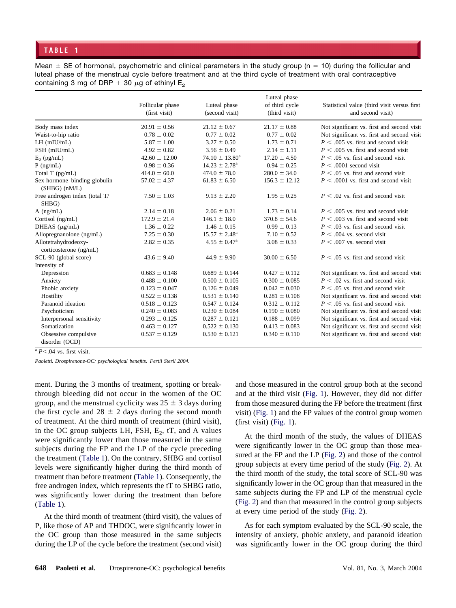<span id="page-3-0"></span>Mean  $\pm$  SE of hormonal, psychometric and clinical parameters in the study group (n = 10) during the follicular and luteal phase of the menstrual cycle before treatment and at the third cycle of treatment with oral contraceptive containing 3 mg of DRP + 30  $\mu$ g of ethinyl E<sub>2</sub>

|                                                   | Follicular phase<br>(first visit) | Luteal phase<br>(second visit) | Luteal phase<br>of third cycle<br>(third visit) | Statistical value (third visit versus first)<br>and second visit) |
|---------------------------------------------------|-----------------------------------|--------------------------------|-------------------------------------------------|-------------------------------------------------------------------|
| Body mass index                                   | $20.91 \pm 0.56$                  | $21.12 \pm 0.67$               | $21.17 \pm 0.88$                                | Not significant vs. first and second visit                        |
| Waist-to-hip ratio                                | $0.78 \pm 0.02$                   | $0.77 \pm 0.02$                | $0.77 \pm 0.02$                                 | Not significant vs. first and second visit                        |
| $LH$ (mIU/mL)                                     | $5.87 \pm 1.00$                   | $3.27 \pm 0.50$                | $1.73 \pm 0.71$                                 | $P \leq 0.005$ vs. first and second visit                         |
| FSH (mIU/mL)                                      | $4.92 \pm 0.82$                   | $3.56 \pm 0.49$                | $2.14 \pm 1.11$                                 | $P \leq 0.005$ vs. first and second visit                         |
| $E_2$ (pg/mL)                                     | $42.60 \pm 12.00$                 | $74.10 \pm 13.80^a$            | $17.20 \pm 4.50$                                | $P \leq 0.05$ vs. first and second visit                          |
| $P$ (ng/mL)                                       | $0.98 \pm 0.36$                   | $14.23 \pm 2.78^{\circ}$       | $0.94 \pm 0.25$                                 | $P \leq .0001$ second visit                                       |
| Total T (pg/mL)                                   | $414.0 \pm 60.0$                  | $474.0 \pm 78.0$               | $280.0 \pm 34.0$                                | $P < .05$ vs. first and second visit                              |
| Sex hormone-binding globulin<br>$(SHBG)$ $(nM/L)$ | $57.02 \pm 4.37$                  | $61.83 \pm 6.50$               | $156.3 \pm 12.12$                               | $P \leq 0.0001$ vs. first and second visit                        |
| Free androgen index (total T/<br>SHBG)            | $7.50 \pm 1.03$                   | $9.13 \pm 2.20$                | $1.95 \pm 0.25$                                 | $P < 0.02$ vs. first and second visit                             |
| $A$ (ng/mL)                                       | $2.14 \pm 0.18$                   | $2.06 \pm 0.21$                | $1.73 \pm 0.14$                                 | $P < .005$ vs. first and second visit                             |
| Cortisol (ng/mL)                                  | $172.9 \pm 21.4$                  | $146.1 \pm 18.0$               | $370.8 \pm 54.6$                                | $P \leq 0.003$ vs. first and second visit                         |
| DHEAS $(\mu g/mL)$                                | $1.36 \pm 0.22$                   | $1.46 \pm 0.15$                | $0.99 \pm 0.13$                                 | $P < .03$ vs. first and second visit                              |
| Allopregnanolone (ng/mL)                          | $7.25 \pm 0.30$                   | $15.57 \pm 2.48^{\text{a}}$    | $7.10 \pm 0.52$                                 | $P \leq 0.004$ vs. second visit                                   |
| Allotetrahydrodeoxy-<br>corticosterone (ng/mL)    | $2.82 \pm 0.35$                   | $4.55 \pm 0.47^{\rm a}$        | $3.08 \pm 0.33$                                 | $P \leq .007$ vs. second visit                                    |
| SCL-90 (global score)                             | $43.6 \pm 9.40$                   | $44.9 \pm 9.90$                | $30.00 \pm 6.50$                                | $P \leq .05$ vs. first and second visit                           |
| Intensity of                                      |                                   |                                |                                                 |                                                                   |
| Depression                                        | $0.683 \pm 0.148$                 | $0.689 \pm 0.144$              | $0.427 \pm 0.112$                               | Not significant vs. first and second visit                        |
| Anxiety                                           | $0.488 \pm 0.100$                 | $0.500 \pm 0.105$              | $0.300 \pm 0.085$                               | $P \leq 0.02$ vs. first and second visit                          |
| Phobic anxiety                                    | $0.123 \pm 0.047$                 | $0.126 \pm 0.049$              | $0.042 \pm 0.030$                               | $P \leq 0.05$ vs. first and second visit                          |
| Hostility                                         | $0.522 \pm 0.138$                 | $0.531 \pm 0.140$              | $0.281 \pm 0.108$                               | Not significant vs. first and second visit                        |
| Paranoid ideation                                 | $0.518 \pm 0.123$                 | $0.547 \pm 0.124$              | $0.312 \pm 0.112$                               | $P \leq 0.05$ vs. first and second visit                          |
| Psychoticism                                      | $0.240 \pm 0.083$                 | $0.230 \pm 0.084$              | $0.190 \pm 0.080$                               | Not significant vs. first and second visit                        |
| Interpersonal sensitivity                         | $0.293 \pm 0.125$                 | $0.287 \pm 0.121$              | $0.188 \pm 0.099$                               | Not significant vs. first and second visit                        |
| Somatization                                      | $0.463 \pm 0.127$                 | $0.522 \pm 0.130$              | $0.413 \pm 0.083$                               | Not significant vs. first and second visit                        |
| Obsessive compulsive<br>disorder (OCD)            | $0.537 \pm 0.129$                 | $0.530 \pm 0.121$              | $0.340 \pm 0.110$                               | Not significant vs. first and second visit                        |

 $\sqrt[a]{P}$ .04 vs. first visit.

*Paoletti. Drospirenone-OC: psychological benefits. Fertil Steril 2004.*

ment. During the 3 months of treatment, spotting or breakthrough bleeding did not occur in the women of the OC group, and the menstrual cyclicity was  $25 \pm 3$  days during the first cycle and  $28 \pm 2$  days during the second month of treatment. At the third month of treatment (third visit), in the OC group subjects LH, FSH,  $E_2$ , tT, and A values were significantly lower than those measured in the same subjects during the FP and the LP of the cycle preceding the treatment (Table 1). On the contrary, SHBG and cortisol levels were significantly higher during the third month of treatment than before treatment (Table 1). Consequently, the free androgen index, which represents the tT to SHBG ratio, was significantly lower during the treatment than before (Table 1).

At the third month of treatment (third visit), the values of P, like those of AP and THDOC, were significantly lower in the OC group than those measured in the same subjects during the LP of the cycle before the treatment (second visit)

and those measured in the control group both at the second and at the third visit [\(Fig. 1\)](#page-2-0). However, they did not differ from those measured during the FP before the treatment (first visit) [\(Fig. 1\)](#page-2-0) and the FP values of the control group women (first visit) [\(Fig. 1\)](#page-2-0).

At the third month of the study, the values of DHEAS were significantly lower in the OC group than those measured at the FP and the LP [\(Fig. 2\)](#page-4-0) and those of the control group subjects at every time period of the study [\(Fig. 2\)](#page-4-0). At the third month of the study, the total score of SCL-90 was significantly lower in the OC group than that measured in the same subjects during the FP and LP of the menstrual cycle [\(Fig. 2\)](#page-4-0) and than that measured in the control group subjects at every time period of the study [\(Fig. 2\)](#page-4-0).

As for each symptom evaluated by the SCL-90 scale, the intensity of anxiety, phobic anxiety, and paranoid ideation was significantly lower in the OC group during the third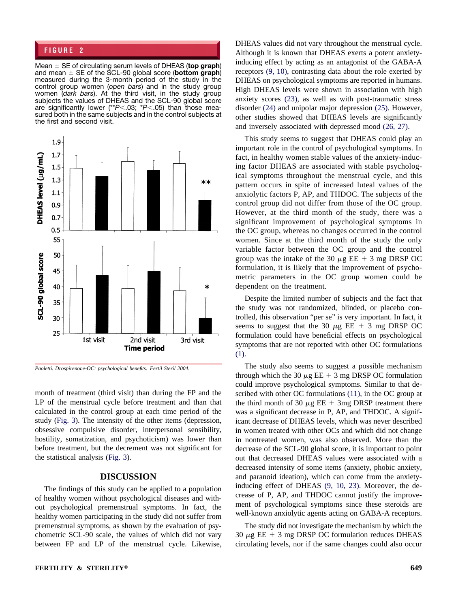# <span id="page-4-0"></span>**FIGURE 2**

Mean  $\pm$  SE of circulating serum levels of DHEAS (top graph) and mean  $\pm$  SE of the SCL-90 global score (**bottom graph**) measured during the 3-month period of the study in the control group women (*open bars*) and in the study group women (*dark bars*). At the third visit, in the study group subjects the values of DHEAS and the SCL-90 global score are significantly lower (\*\**P*<.03; \**P*<.05) than those measured both in the same subjects and in the control subjects at the first and second visit.



*Paoletti. Drospirenone-OC: psychological benefits. Fertil Steril 2004.*

month of treatment (third visit) than during the FP and the LP of the menstrual cycle before treatment and than that calculated in the control group at each time period of the study [\(Fig. 3\)](#page-5-0). The intensity of the other items (depression, obsessive compulsive disorder, interpersonal sensibility, hostility, somatization, and psychoticism) was lower than before treatment, but the decrement was not significant for the statistical analysis [\(Fig. 3\)](#page-5-0).

#### **DISCUSSION**

The findings of this study can be applied to a population of healthy women without psychological diseases and without psychological premenstrual symptoms. In fact, the healthy women participating in the study did not suffer from premenstrual symptoms, as shown by the evaluation of psychometric SCL-90 scale, the values of which did not vary between FP and LP of the menstrual cycle. Likewise,

DHEAS values did not vary throughout the menstrual cycle. Although it is known that DHEAS exerts a potent anxietyinducing effect by acting as an antagonist of the GABA-A receptors [\(9, 10\),](#page-6-0) contrasting data about the role exerted by DHEAS on psychological symptoms are reported in humans. High DHEAS levels were shown in association with high anxiety scores [\(23\),](#page-6-0) as well as with post-traumatic stress disorder [\(24\)](#page-6-0) and unipolar major depression [\(25\).](#page-6-0) However, other studies showed that DHEAS levels are significantly and inversely associated with depressed mood [\(26, 27\).](#page-6-0)

This study seems to suggest that DHEAS could play an important role in the control of psychological symptoms. In fact, in healthy women stable values of the anxiety-inducing factor DHEAS are associated with stable psychological symptoms throughout the menstrual cycle, and this pattern occurs in spite of increased luteal values of the anxiolytic factors P, AP, and THDOC. The subjects of the control group did not differ from those of the OC group. However, at the third month of the study, there was a significant improvement of psychological symptoms in the OC group, whereas no changes occurred in the control women. Since at the third month of the study the only variable factor between the OC group and the control group was the intake of the 30  $\mu$ g EE + 3 mg DRSP OC formulation, it is likely that the improvement of psychometric parameters in the OC group women could be dependent on the treatment.

Despite the limited number of subjects and the fact that the study was not randomized, blinded, or placebo controlled, this observation "per se" is very important. In fact, it seems to suggest that the 30  $\mu$ g EE + 3 mg DRSP OC formulation could have beneficial effects on psychological symptoms that are not reported with other OC formulations [\(1\).](#page-5-0)

The study also seems to suggest a possible mechanism through which the 30  $\mu$ g EE + 3 mg DRSP OC formulation could improve psychological symptoms. Similar to that described with other OC formulations [\(11\),](#page-6-0) in the OC group at the third month of 30  $\mu$ g EE + 3mg DRSP treatment there was a significant decrease in P, AP, and THDOC. A significant decrease of DHEAS levels, which was never described in women treated with other OCs and which did not change in nontreated women, was also observed. More than the decrease of the SCL-90 global score, it is important to point out that decreased DHEAS values were associated with a decreased intensity of some items (anxiety, phobic anxiety, and paranoid ideation), which can come from the anxietyinducing effect of DHEAS [\(9, 10, 23\).](#page-6-0) Moreover, the decrease of P, AP, and THDOC cannot justify the improvement of psychological symptoms since these steroids are well-known anxiolytic agents acting on GABA-A receptors.

The study did not investigate the mechanism by which the 30  $\mu$ g EE + 3 mg DRSP OC formulation reduces DHEAS circulating levels, nor if the same changes could also occur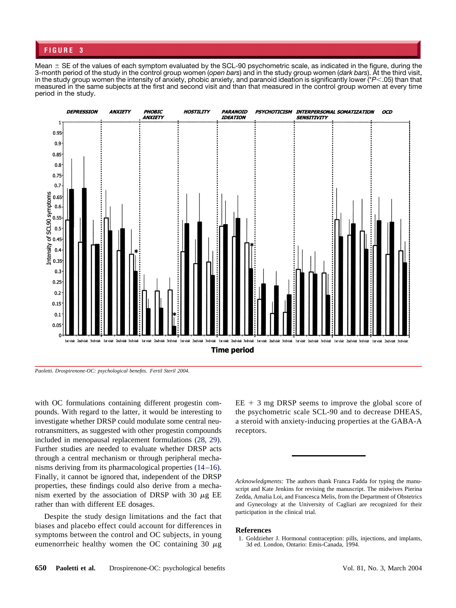# <span id="page-5-0"></span>**FIGURE 3**

Mean  $\pm$  SE of the values of each symptom evaluated by the SCL-90 psychometric scale, as indicated in the figure, during the 3-month period of the study in the control group women (*open bars*) and in the study group women (*dark bars*). At the third visit, in the study group women the intensity of anxiety, phobic anxiety, and paranoid ideation is significantly lower (\**P*.05) than that measured in the same subjects at the first and second visit and than that measured in the control group women at every time period in the study.



*Paoletti. Drospirenone-OC: psychological benefits. Fertil Steril 2004.*

with OC formulations containing different progestin compounds. With regard to the latter, it would be interesting to investigate whether DRSP could modulate some central neurotransmitters, as suggested with other progestin compounds included in menopausal replacement formulations [\(28, 29\).](#page-6-0) Further studies are needed to evaluate whether DRSP acts through a central mechanism or through peripheral mechanisms deriving from its pharmacological properties [\(14–16\).](#page-6-0) Finally, it cannot be ignored that, independent of the DRSP properties, these findings could also derive from a mechanism exerted by the association of DRSP with 30  $\mu$ g EE rather than with different EE dosages.

Despite the study design limitations and the fact that biases and placebo effect could account for differences in symptoms between the control and OC subjects, in young eumenorrheic healthy women the OC containing 30  $\mu$ g  $EE + 3$  mg DRSP seems to improve the global score of the psychometric scale SCL-90 and to decrease DHEAS, a steroid with anxiety-inducing properties at the GABA-A receptors.

*Acknowledgments:* The authors thank Franca Fadda for typing the manuscript and Kate Jenkins for revising the manuscript. The midwives Pierina Zedda, Amalia Loi, and Francesca Melis, from the Department of Obstetrics and Gynecology at the University of Cagliari are recognized for their participation in the clinical trial.

#### **References**

1. Goldzieher J. Hormonal contraception: pills, injections, and implants, 3d ed. London, Ontario: Emis-Canada, 1994.